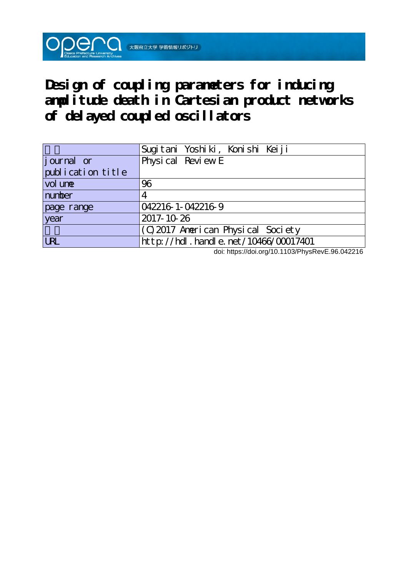**Design of coupling parameters for inducing amplitude death in Cartesian product networks of delayed coupled oscillators**

**DOOO** 大阪府立大学 学術情報リポジトリ

|                   | Sugitani Yoshiki, Konishi Keiji      |
|-------------------|--------------------------------------|
| journal or        | Physical Review E                    |
| publication title |                                      |
| vol une           | 96                                   |
| number            | 4                                    |
| page range        | 042216 1-042216 9                    |
| year              | 2017-10-26                           |
|                   | (C) 2017 American Physical Society   |
| <b>LRL</b>        | http://hdl.handle.net/10466/00017401 |

doi: https://doi.org/10.1103/PhysRevE.96.042216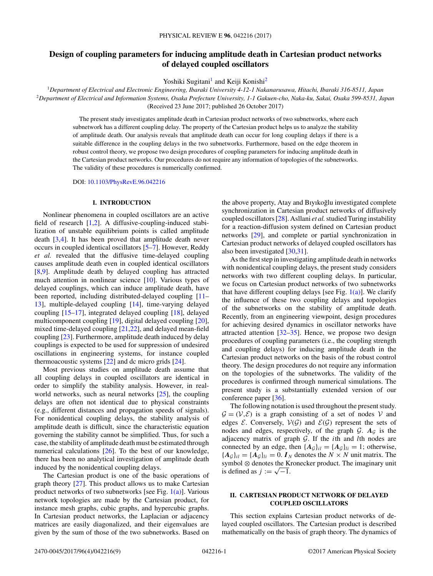# **Design of coupling parameters for inducing amplitude death in Cartesian product networks of delayed coupled oscillators**

Yoshiki Sugitani<sup>1</sup> and Keiji Konishi<sup>2</sup>

<sup>1</sup>*Department of Electrical and Electronic Engineering, Ibaraki University 4-12-1 Nakanarusawa, Hitachi, Ibaraki 316-8511, Japan* <sup>2</sup>*Department of Electrical and Information Systems, Osaka Prefecture University, 1-1 Gakuen-cho, Naka-ku, Sakai, Osaka 599-8531, Japan* (Received 23 June 2017; published 26 October 2017)

The present study investigates amplitude death in Cartesian product networks of two subnetworks, where each subnetwork has a different coupling delay. The property of the Cartesian product helps us to analyze the stability of amplitude death. Our analysis reveals that amplitude death can occur for long coupling delays if there is a suitable difference in the coupling delays in the two subnetworks. Furthermore, based on the edge theorem in robust control theory, we propose two design procedures of coupling parameters for inducing amplitude death in the Cartesian product networks. Our procedures do not require any information of topologies of the subnetworks. The validity of these procedures is numerically confirmed.

DOI: [10.1103/PhysRevE.96.042216](https://doi.org/10.1103/PhysRevE.96.042216)

#### **I. INTRODUCTION**

Nonlinear phenomena in coupled oscillators are an active field of research [\[1,2\]](#page-8-0). A diffusive-coupling-induced stabilization of unstable equilibrium points is called amplitude death [\[3,4\]](#page-8-0). It has been proved that amplitude death never occurs in coupled identical oscillators [\[5–7\]](#page-8-0). However, Reddy *et al.* revealed that the diffusive time-delayed coupling causes amplitude death even in coupled identical oscillators [\[8,9\]](#page-8-0). Amplitude death by delayed coupling has attracted much attention in nonlinear science [\[10\]](#page-8-0). Various types of delayed couplings, which can induce amplitude death, have been reported, including distributed-delayed coupling [\[11–](#page-8-0) [13\]](#page-8-0), multiple-delayed coupling [\[14\]](#page-8-0), time-varying delayed coupling [\[15–17\]](#page-8-0), integrated delayed coupling [\[18\]](#page-8-0), delayed multicomponent coupling [\[19\]](#page-8-0), digital delayed coupling [\[20\]](#page-8-0), mixed time-delayed coupling [\[21](#page-8-0)[,22\]](#page-9-0), and delayed mean-field coupling [\[23\]](#page-9-0). Furthermore, amplitude death induced by delay couplings is expected to be used for suppression of undesired oscillations in engineering systems, for instance coupled thermoacoustic systems  $[22]$  and dc micro grids  $[24]$ .

Most previous studies on amplitude death assume that all coupling delays in coupled oscillators are identical in order to simplify the stability analysis. However, in realworld networks, such as neural networks [\[25\]](#page-9-0), the coupling delays are often not identical due to physical constraints (e.g., different distances and propagation speeds of signals). For nonidentical coupling delays, the stability analysis of amplitude death is difficult, since the characteristic equation governing the stability cannot be simplified. Thus, for such a case, the stability of amplitude death must be estimated through numerical calculations [\[26\]](#page-9-0). To the best of our knowledge, there has been no analytical investigation of amplitude death induced by the nonidentical coupling delays.

The Cartesian product is one of the basic operations of graph theory [\[27\]](#page-9-0). This product allows us to make Cartesian product networks of two subnetworks [see Fig.  $1(a)$ ]. Various network topologies are made by the Cartesian product, for instance mesh graphs, cubic graphs, and hypercubic graphs. In Cartesian product networks, the Laplacian or adjacency matrices are easily diagonalized, and their eigenvalues are given by the sum of those of the two subnetworks. Based on

the above property, Atay and Bıyıkoglu investigated complete ˘ synchronization in Cartesian product networks of diffusively coupled oscillators [\[28\]](#page-9-0). Asllani *et al.*studied Turing instability for a reaction-diffusion system defined on Cartesian product networks [\[29\]](#page-9-0), and complete or partial synchronization in Cartesian product networks of delayed coupled oscillators has also been investigated [\[30,31\]](#page-9-0).

As the first step in investigating amplitude death in networks with nonidentical coupling delays, the present study considers networks with two different coupling delays. In particular, we focus on Cartesian product networks of two subnetworks that have different coupling delays [see Fig.  $1(a)$ ]. We clarify the influence of these two coupling delays and topologies of the subnetworks on the stability of amplitude death. Recently, from an engineering viewpoint, design procedures for achieving desired dynamics in oscillator networks have attracted attention  $[32-35]$ . Hence, we propose two design procedures of coupling parameters (i.e., the coupling strength and coupling delays) for inducing amplitude death in the Cartesian product networks on the basis of the robust control theory. The design procedures do not require any information on the topologies of the subnetworks. The validity of the procedures is confirmed through numerical simulations. The present study is a substantially extended version of our conference paper [\[36\]](#page-9-0).

The following notation is used throughout the present study.  $\mathcal{G} = (\mathcal{V}, \mathcal{E})$  is a graph consisting of a set of nodes  $\mathcal{V}$  and edges  $\mathcal{E}$ . Conversely,  $\mathcal{V}(\mathcal{G})$  and  $\mathcal{E}(\mathcal{G})$  represent the sets of nodes and edges, respectively, of the graph  $G$ .  $A_G$  is the adjacency matrix of graph G. If the *i*th and *l*th nodes are connected by an edge, then  ${A_g}_{il} = {A_g}_{li} = 1$ ; otherwise,  ${A_g}_{il} = {A_g}_{li} = 0$ . *I<sub>N</sub>* denotes the  $N \times N$  unit matrix. The symbol ⊗ denotes the Kronecker product. The imaginary unit is defined as  $j := \sqrt{-1}$ .

# **II. CARTESIAN PRODUCT NETWORK OF DELAYED COUPLED OSCILLATORS**

This section explains Cartesian product networks of delayed coupled oscillators. The Cartesian product is described mathematically on the basis of graph theory. The dynamics of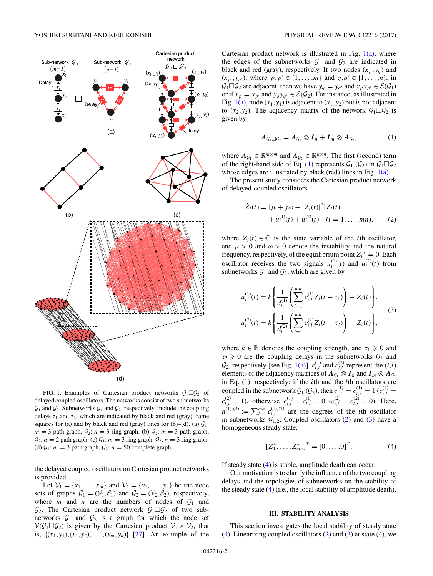<span id="page-2-0"></span>

FIG. 1. Examples of Cartesian product networks  $\mathcal{G}_1 \square \mathcal{G}_2$  of delayed coupled oscillators. The networks consist of two subnetworks  $\mathcal{G}_1$  and  $\mathcal{G}_2$ . Subnetworks  $\mathcal{G}_1$  and  $\mathcal{G}_2$ , respectively, include the coupling delays  $\tau_1$  and  $\tau_2$ , which are indicated by black and red (gray) frame squares for (a) and by black and red (gray) lines for (b)–(d). (a)  $\mathcal{G}_1$ :  $m = 3$  path graph,  $\mathcal{G}_2$ :  $n = 3$  ring graph. (b)  $\mathcal{G}_1$ :  $m = 3$  path graph,  $G_2$ :  $n = 2$  path graph. (c)  $G_1$ :  $m = 3$  ring graph,  $G_2$ :  $n = 3$  ring graph. (d)  $\mathcal{G}_1$ : *m* = 3 path graph,  $\mathcal{G}_2$ : *n* = 50 complete graph.

the delayed coupled oscillators on Cartesian product networks is provided.

Let  $V_1 = \{x_1, ..., x_m\}$  and  $V_2 = \{y_1, ..., y_n\}$  be the node sets of graphs  $G_1 = (\mathcal{V}_1, \mathcal{E}_1)$  and  $G_2 = (\mathcal{V}_2, \mathcal{E}_2)$ , respectively, where *m* and *n* are the numbers of nodes of  $G_1$  and  $\mathcal{G}_2$ . The Cartesian product network  $\mathcal{G}_1 \square \mathcal{G}_2$  of two subnetworks  $G_1$  and  $G_2$  is a graph for which the node set  $V(G_1 \square G_2)$  is given by the Cartesian product  $V_1 \times V_2$ , that is,  $\{(x_1, y_1), (x_1, y_2), \ldots, (x_m, y_n)\}$  [\[27\]](#page-9-0). An example of the

Cartesian product network is illustrated in Fig.  $1(a)$ , where the edges of the subnetworks  $G_1$  and  $G_2$  are indicated in black and red (gray), respectively. If two nodes  $(x_p, y_q)$  and  $(x_{p'}, y_{q'})$ , where  $p, p' \in \{1, \ldots, m\}$  and  $q, q' \in \{1, \ldots, n\}$ , in  $\mathcal{G}_1 \square \mathcal{G}_2$  are adjacent, then we have  $y_q = y_{q'}$  and  $x_p x_{p'} \in \mathcal{E}(\mathcal{G}_1)$ or if  $x_p = x_{p'}$  and  $y_q y_{q'} \in \mathcal{E}(\mathcal{G}_2)$ . For instance, as illustrated in Fig.  $1(a)$ , node  $(x_1, y_1)$  is adjacent to  $(x_1, y_2)$  but is not adjacent to  $(x_2, y_2)$ . The adjacency matrix of the network  $\mathcal{G}_1 \square \mathcal{G}_2$  is given by

$$
A_{\mathcal{G}_1 \square \mathcal{G}_2} = A_{\mathcal{G}_1} \otimes I_n + I_m \otimes A_{\mathcal{G}_2}, \qquad (1)
$$

where  $A_{\mathcal{G}_1} \in \mathbb{R}^{m \times m}$  and  $A_{\mathcal{G}_2} \in \mathbb{R}^{n \times n}$ . The first (second) term of the right-hand side of Eq. (1) represents  $\mathcal{G}_1$  ( $\mathcal{G}_2$ ) in  $\mathcal{G}_1 \square \mathcal{G}_2$ whose edges are illustrated by black (red) lines in Fig. 1(a).

The present study considers the Cartesian product network of delayed-coupled oscillators

$$
\dot{Z}_i(t) = [\mu + j\omega - |Z_i(t)|^2]Z_i(t) \n+ u_i^{(1)}(t) + u_i^{(2)}(t) \quad (i = 1, ..., mn),
$$
\n(2)

where  $Z_i(t) \in \mathbb{C}$  is the state variable of the *i*th oscillator, and  $\mu > 0$  and  $\omega > 0$  denote the instability and the natural frequency, respectively, of the equilibrium point  $Z_i^* = 0$ . Each oscillator receives the two signals  $u_i^{(1)}(t)$  and  $u_i^{(2)}(t)$  from subnetworks  $\mathcal{G}_1$  and  $\mathcal{G}_2$ , which are given by

$$
u_i^{(1)}(t) = k \left\{ \frac{1}{d_i^{(1)}} \left( \sum_{l=1}^{mn} c_{i,l}^{(1)} Z_l(t - \tau_1) \right) - Z_i(t) \right\},
$$
  

$$
u_i^{(2)}(t) = k \left\{ \frac{1}{d_i^{(2)}} \left( \sum_{l=1}^{mn} c_{i,l}^{(2)} Z_l(t - \tau_2) \right) - Z_i(t) \right\},
$$
  
(3)

where  $k \in \mathbb{R}$  denotes the coupling strength, and  $\tau_1 \geq 0$  and  $\tau_2 \geq 0$  are the coupling delays in the subnetworks  $\mathcal{G}_1$  and  $\mathcal{G}_2$ , respectively [see Fig. 1(a)].  $c_{i,l}^{(1)}$  and  $c_{i,l}^{(2)}$  represent the  $(i,l)$ elements of the adjacency matrices of  $A_{\mathcal{G}_1} \otimes I_n$  and  $I_m \otimes A_{\mathcal{G}_2}$ in Eq. (1), respectively: if the *i*th and the *l*th oscillators are coupled in the subnetwork  $G_1(G_2)$ , then  $c_{i,l}^{(1)} = c_{l,i}^{(1)} = 1$  ( $c_{i,l}^{(2)} =$  $c^{(2)}_{l,i} = 1$ ), otherwise  $c^{(1)}_{i,l} = c^{(1)}_{l,i} = 0$  ( $c^{(2)}_{i,l} = c^{(2)}_{l,i} = 0$ ). Here,  $d_i^{(1),(2)} := \sum_{l=1}^{mn} c_{i,l}^{(1),(2)}$  are the degrees of the *i*th oscillator in subnetworks  $G_{1,2}$ . Coupled oscillators (2) and (3) have a homogeneous steady state,

$$
[Z_1^*, \ldots, Z_{mn}^*]^T = [0, \ldots, 0]^T.
$$
 (4)

If steady state (4) is stable, amplitude death can occur.

Our motivation is to clarify the influence of the two coupling delays and the topologies of subnetworks on the stability of the steady state (4) (i.e., the local stability of amplitude death).

# **III. STABILITY ANALYSIS**

This section investigates the local stability of steady state  $(4)$ . Linearizing coupled oscillators  $(2)$  and  $(3)$  at state  $(4)$ , we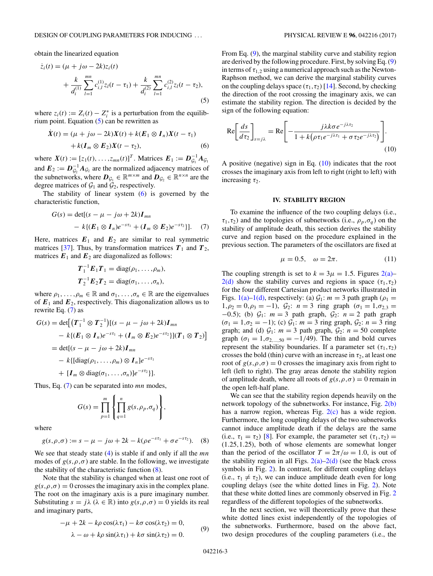<span id="page-3-0"></span>obtain the linearized equation

$$
\dot{z}_i(t) = (\mu + j\omega - 2k)z_i(t) \n+ \frac{k}{d_i^{(1)}} \sum_{l=1}^{mn} c_{i,l}^{(1)} z_l(t - \tau_1) + \frac{k}{d_i^{(2)}} \sum_{l=1}^{mn} c_{i,l}^{(2)} z_l(t - \tau_2),
$$
\n(5)

where  $z_i(t) := Z_i(t) - Z_i^*$  is a perturbation from the equilibrium point. Equation  $(5)$  can be rewritten as

$$
\dot{X}(t) = (\mu + j\omega - 2k)X(t) + k(E_1 \otimes I_n)X(t - \tau_1)
$$
  
+  $k(I_m \otimes E_2)X(t - \tau_2)$ , (6)

where  $X(t) := [z_1(t), \dots, z_{mn}(t)]^T$ . Matrices  $E_1 := D_{\mathcal{G}_1}^{-1} A_{\mathcal{G}_1}$ and  $E_2 := D_{\mathcal{G}_2}^{-1} A_{\mathcal{G}_2}$  are the normalized adjacency matrices of the subnetworks, where  $D_{\mathcal{G}_1} \in \mathbb{R}^{m \times m}$  and  $D_{\mathcal{G}_2} \in \mathbb{R}^{n \times n}$  are the degree matrices of  $\mathcal{G}_1$  and  $\mathcal{G}_2$ , respectively.

The stability of linear system (6) is governed by the characteristic function,

$$
G(s) = det[(s - \mu - j\omega + 2k)I_{mn} - k\{(E_1 \otimes I_n)e^{-s\tau_1} + (I_m \otimes E_2)e^{-s\tau_2}\}].
$$
 (7)

Here, matrices  $E_1$  and  $E_2$  are similar to real symmetric matrices [\[37\]](#page-9-0). Thus, by transformation matrices  $T_1$  and  $T_2$ , matrices  $E_1$  and  $E_2$  are diagonalized as follows:

$$
T_1^{-1}E_1T_1 = \text{diag}(\rho_1,\ldots,\rho_m),
$$
  

$$
T_2^{-1}E_2T_2 = \text{diag}(\sigma_1,\ldots,\sigma_n),
$$

where  $\rho_1, \ldots, \rho_m \in \mathbb{R}$  and  $\sigma_1, \ldots, \sigma_n \in \mathbb{R}$  are the eigenvalues of  $E_1$  and  $E_2$ , respectively. This diagonalization allows us to rewrite Eq. (7) as

$$
G(s) = \det[(\boldsymbol{T}_1^{-1} \otimes \boldsymbol{T}_2^{-1})[(s - \mu - j\omega + 2k)\boldsymbol{I}_{mn} - k\{(\boldsymbol{E}_1 \otimes \boldsymbol{I}_n)e^{-s\tau_1} + (\boldsymbol{I}_m \otimes \boldsymbol{E}_2)e^{-s\tau_2}\}](\boldsymbol{T}_1 \otimes \boldsymbol{T}_2)]
$$
  
= det[(s - \mu - j\omega + 2k)\boldsymbol{I}\_{mn}   
- k\{[\mathrm{diag}(\rho\_1, \ldots, \rho\_m) \otimes \boldsymbol{I}\_n]e^{-s\tau\_1}   
+ [\boldsymbol{I}\_m \otimes \mathrm{diag}(\sigma\_1, \ldots, \sigma\_n)]e^{-s\tau\_2} \}].

Thus, Eq. (7) can be separated into *mn* modes,

$$
G(s) = \prod_{p=1}^m \left\{ \prod_{q=1}^n g(s, \rho_p, \sigma_q) \right\},\,
$$

where

$$
g(s, \rho, \sigma) := s - \mu - j\omega + 2k - k(\rho e^{-s\tau_1} + \sigma e^{-s\tau_2}).
$$
 (8)

We see that steady state [\(4\)](#page-2-0) is stable if and only if all the *mn* modes of  $g(s, \rho, \sigma)$  are stable. In the following, we investigate the stability of the characteristic function  $(8)$ .

Note that the stability is changed when at least one root of  $g(s, \rho, \sigma) = 0$  crosses the imaginary axis in the complex plane. The root on the imaginary axis is a pure imaginary number. Substituting  $s = j\lambda$  ( $\lambda \in \mathbb{R}$ ) into  $g(s, \rho, \sigma) = 0$  yields its real and imaginary parts,

$$
-\mu + 2k - k\rho \cos(\lambda \tau_1) - k\sigma \cos(\lambda \tau_2) = 0,
$$
  

$$
\lambda - \omega + k\rho \sin(\lambda \tau_1) + k\sigma \sin(\lambda \tau_2) = 0.
$$
 (9)

From Eq. (9), the marginal stability curve and stability region are derived by the following procedure. First, by solving Eq. (9) in terms of  $\tau_{1,2}$  using a numerical approach such as the Newton-Raphson method, we can derive the marginal stability curves on the coupling delays space  $(\tau_1, \tau_2)$  [\[14\]](#page-8-0). Second, by checking the direction of the root crossing the imaginary axis, we can estimate the stability region. The direction is decided by the sign of the following equation:

$$
\operatorname{Re}\left[\frac{ds}{d\tau_2}\right]_{s=j\lambda} = \operatorname{Re}\left[-\frac{j\lambda k\sigma e^{-j\lambda\tau_2}}{1 + k\left(\rho\tau_1 e^{-j\lambda\tau_1} + \sigma\tau_2 e^{-j\lambda\tau_2}\right)}\right].\tag{10}
$$

A positive (negative) sign in Eq. (10) indicates that the root crosses the imaginary axis from left to right (right to left) with increasing *τ*<sub>2</sub>.

### **IV. STABILITY REGION**

To examine the influence of the two coupling delays (i.e.,  $\tau_1, \tau_2$ ) and the topologies of subnetworks (i.e.,  $\rho_p, \sigma_q$ ) on the stability of amplitude death, this section derives the stability curve and region based on the procedure explained in the previous section. The parameters of the oscillators are fixed at

$$
\mu = 0.5, \quad \omega = 2\pi. \tag{11}
$$

The coupling strength is set to  $k = 3\mu = 1.5$ . Figures [2\(a\)–](#page-4-0)  $2(d)$  show the stability curves and regions in space  $(\tau_1, \tau_2)$ for the four different Cartesian product networks illustrated in Figs. [1\(a\)–1\(d\),](#page-2-0) respectively: (a)  $G_1$ :  $m = 3$  path graph ( $\rho_1 =$  $1, \rho_2 = 0, \rho_3 = -1$ ,  $\mathcal{G}_2$ :  $n = 3$  ring graph  $(\sigma_1 = 1, \sigma_{2,3} =$  $-0.5$ ; (b)  $\mathcal{G}_1$ :  $m = 3$  path graph,  $\mathcal{G}_2$ :  $n = 2$  path graph  $(\sigma_1 = 1, \sigma_2 = -1)$ ; (c)  $\mathcal{G}_1$ :  $m = 3$  ring graph,  $\mathcal{G}_2$ :  $n = 3$  ring graph; and (d)  $G_1$ :  $m = 3$  path graph,  $G_2$ :  $n = 50$  complete graph ( $\sigma_1 = 1, \sigma_{2,\dots,50} = -1/49$ ). The thin and bold curves represent the stability boundaries. If a parameter set  $(\tau_1, \tau_2)$ crosses the bold (thin) curve with an increase in  $\tau_2$ , at least one root of  $g(s, \rho, \sigma) = 0$  crosses the imaginary axis from right to left (left to right). The gray areas denote the stability region of amplitude death, where all roots of  $g(s, \rho, \sigma) = 0$  remain in the open left-half plane.

We can see that the stability region depends heavily on the network topology of the subnetworks. For instance, Fig. [2\(b\)](#page-4-0) has a narrow region, whereas Fig. [2\(c\)](#page-4-0) has a wide region. Furthermore, the long coupling delays of the two subnetworks cannot induce amplitude death if the delays are the same (i.e.,  $\tau_1 = \tau_2$ ) [\[8\]](#page-8-0). For example, the parameter set  $(\tau_1, \tau_2)$  = (1*.*25*,*1*.*25), both of whose elements are somewhat longer than the period of the oscillator  $T = 2\pi/\omega = 1.0$ , is out of the stability region in all Figs.  $2(a)-2(d)$  (see the black cross symbols in Fig. [2\)](#page-4-0). In contrast, for different coupling delays (i.e.,  $\tau_1 \neq \tau_2$ ), we can induce amplitude death even for long coupling delays (see the white dotted lines in Fig. [2\)](#page-4-0). Note that these white dotted lines are commonly observed in Fig. [2](#page-4-0) regardless of the different topologies of the subnetworks.

In the next section, we will theoretically prove that these white dotted lines exist independently of the topologies of the subnetworks. Furthermore, based on the above fact, two design procedures of the coupling parameters (i.e., the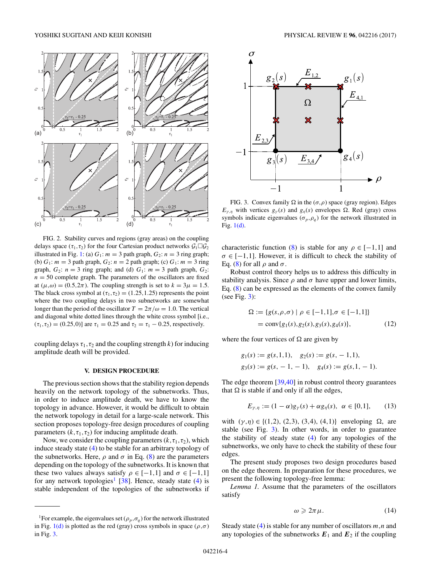<span id="page-4-0"></span>

FIG. 2. Stability curves and regions (gray areas) on the coupling delays space  $(\tau_1, \tau_2)$  for the four Cartesian product networks  $\mathcal{G}_1 \square \mathcal{G}_2$ illustrated in Fig. [1:](#page-2-0) (a)  $G_1$ :  $m = 3$  path graph,  $G_2$ :  $n = 3$  ring graph; (b)  $G_1: m = 3$  path graph,  $G_2: n = 2$  path graph; (c)  $G_1: m = 3$  ring graph,  $G_2$ :  $n = 3$  ring graph; and (d)  $G_1$ :  $m = 3$  path graph,  $G_2$ :  $n = 50$  complete graph. The parameters of the oscillators are fixed at ( $\mu, \omega$ ) = (0.5,2 $\pi$ ). The coupling strength is set to  $k = 3\mu = 1.5$ . The black cross symbol at  $(\tau_1, \tau_2) = (1.25, 1.25)$  represents the point where the two coupling delays in two subnetworks are somewhat longer than the period of the oscillator  $T = 2\pi/\omega = 1.0$ . The vertical and diagonal white dotted lines through the white cross symbol [i.e.,  $(\tau_1, \tau_2) = (0.25, 0)$ ] are  $\tau_1 = 0.25$  and  $\tau_2 = \tau_1 - 0.25$ , respectively.

coupling delays  $\tau_1, \tau_2$  and the coupling strength *k*) for inducing amplitude death will be provided.

## **V. DESIGN PROCEDURE**

The previous section shows that the stability region depends heavily on the network topology of the subnetworks. Thus, in order to induce amplitude death, we have to know the topology in advance. However, it would be difficult to obtain the network topology in detail for a large-scale network. This section proposes topology-free design procedures of coupling parameters  $(k, \tau_1, \tau_2)$  for inducing amplitude death.

Now, we consider the coupling parameters  $(k, \tau_1, \tau_2)$ , which induce steady state [\(4\)](#page-2-0) to be stable for an arbitrary topology of the subnetworks. Here,  $\rho$  and  $\sigma$  in Eq. [\(8\)](#page-3-0) are the parameters depending on the topology of the subnetworks. It is known that these two values always satisfy  $\rho \in [-1,1]$  and  $\sigma \in [-1,1]$ for any network topologies<sup>1</sup> [\[38\]](#page-9-0). Hence, steady state [\(4\)](#page-2-0) is stable independent of the topologies of the subnetworks if



FIG. 3. Convex family  $\Omega$  in the ( $\sigma$ , $\rho$ ) space (gray region). Edges *E<sub>γ,η</sub>* with vertices  $g_{\gamma}(s)$  and  $g_{\eta}(s)$  envelopes Ω. Red (gray) cross symbols indicate eigenvalues ( $\sigma_p$ , $\rho_q$ ) for the network illustrated in Fig. [1\(d\).](#page-2-0)

characteristic function [\(8\)](#page-3-0) is stable for any  $\rho \in [-1,1]$  and  $\sigma \in [-1,1]$ . However, it is difficult to check the stability of Eq. [\(8\)](#page-3-0) for all  $ρ$  and  $σ$ .

Robust control theory helps us to address this difficulty in stability analysis. Since  $\rho$  and  $\sigma$  have upper and lower limits, Eq. [\(8\)](#page-3-0) can be expressed as the elements of the convex family (see Fig. 3):

$$
\Omega := \{ g(s, \rho, \sigma) \mid \rho \in [-1, 1], \sigma \in [-1, 1] \}
$$
  
= conv{g<sub>1</sub>(s), g<sub>2</sub>(s), g<sub>3</sub>(s), g<sub>4</sub>(s)}, (12)

where the four vertices of  $\Omega$  are given by

$$
g_1(s) := g(s, 1, 1), \quad g_2(s) := g(s, -1, 1),
$$
  
 $g_3(s) := g(s, -1, -1), \quad g_4(s) := g(s, 1, -1).$ 

The edge theorem [\[39,40\]](#page-9-0) in robust control theory guarantees that  $\Omega$  is stable if and only if all the edges,

$$
E_{\gamma,\eta} := (1 - \alpha)g_{\gamma}(s) + \alpha g_{\eta}(s), \ \alpha \in [0,1], \qquad (13)
$$

with  $(\gamma, \eta) \in \{(1, 2), (2, 3), (3, 4), (4, 1)\}$  enveloping  $\Omega$ , are stable (see Fig. 3). In other words, in order to guarantee the stability of steady state [\(4\)](#page-2-0) for any topologies of the subnetworks, we only have to check the stability of these four edges.

The present study proposes two design procedures based on the edge theorem. In preparation for these procedures, we present the following topology-free lemma:

*Lemma 1.* Assume that the parameters of the oscillators satisfy

$$
\omega \geqslant 2\pi\mu. \tag{14}
$$

Steady state [\(4\)](#page-2-0) is stable for any number of oscillators *m,n* and any topologies of the subnetworks  $E_1$  and  $E_2$  if the coupling

<sup>&</sup>lt;sup>1</sup>For example, the eigenvalues set ( $\rho_p$ , $\sigma_q$ ) for the network illustrated in Fig.  $1(d)$  is plotted as the red (gray) cross symbols in space ( $\rho, \sigma$ ) in Fig. 3.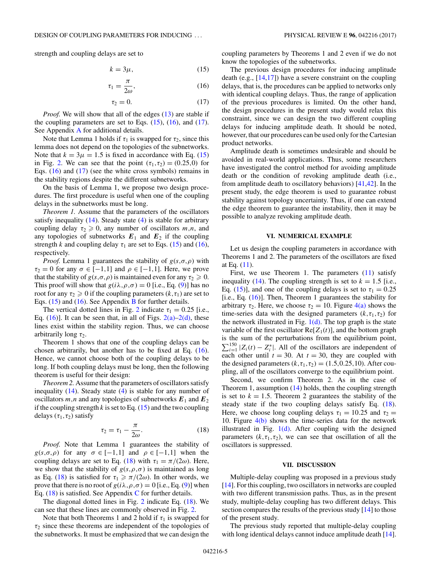<span id="page-5-0"></span>strength and coupling delays are set to

$$
k = 3\mu,\tag{15}
$$

$$
\tau_1 = \frac{\pi}{2\omega},\tag{16}
$$

$$
\tau_2 = 0. \tag{17}
$$

*Proof.* We will show that all of the edges [\(13\)](#page-4-0) are stable if the coupling parameters are set to Eqs.  $(15)$ ,  $(16)$ , and  $(17)$ . See Appendix [A](#page-6-0) for additional details.

Note that Lemma 1 holds if  $\tau_1$  is swapped for  $\tau_2$ , since this lemma does not depend on the topologies of the subnetworks. Note that  $k = 3\mu = 1.5$  is fixed in accordance with Eq. (15) in Fig. [2.](#page-4-0) We can see that the point  $(\tau_1, \tau_2) = (0.25, 0)$  for Eqs. (16) and (17) (see the white cross symbols) remains in the stability regions despite the different subnetworks.

On the basis of Lemma 1, we propose two design procedures. The first procedure is useful when one of the coupling delays in the subnetworks must be long.

*Theorem 1.* Assume that the parameters of the oscillators satisfy inequality  $(14)$ . Steady state  $(4)$  is stable for arbitrary coupling delay  $\tau_2 \geq 0$ , any number of oscillators  $m, n$ , and any topologies of subnetworks  $E_1$  and  $E_2$  if the coupling strength *k* and coupling delay  $\tau_1$  are set to Eqs. (15) and (16), respectively.

*Proof.* Lemma 1 guarantees the stability of  $g(s, \sigma, \rho)$  with  $\tau_2 = 0$  for any  $\sigma \in [-1,1]$  and  $\rho \in [-1,1]$ . Here, we prove that the stability of  $g(s, \sigma, \rho)$  is maintained even for any  $\tau_2 \geq 0$ . This proof will show that  $g(i\lambda, \rho, \sigma) = 0$  [i.e., Eq. [\(9\)](#page-3-0)] has no root for any  $\tau_2 \geq 0$  if the coupling parameters  $(k, \tau_1)$  are set to Eqs.  $(15)$  and  $(16)$ . See Appendix [B](#page-7-0) for further details.

The vertical dotted lines in Fig. [2](#page-4-0) indicate  $\tau_1 = 0.25$  [i.e., Eq.  $(16)$ ]. It can be seen that, in all of Figs.  $2(a)-2(d)$ , these lines exist within the stability region. Thus, we can choose arbitrarily long *τ*<sub>2</sub>.

Theorem 1 shows that one of the coupling delays can be chosen arbitrarily, but another has to be fixed at Eq. (16). Hence, we cannot choose both of the coupling delays to be long. If both coupling delays must be long, then the following theorem is useful for their design:

*Theorem 2.* Assume that the parameters of oscillators satisfy inequality  $(14)$ . Steady state  $(4)$  is stable for any number of oscillators  $m, n$  and any topologies of subnetworks  $E_1$  and  $E_2$ if the coupling strength  $k$  is set to Eq.  $(15)$  and the two coupling delays  $(\tau_1, \tau_2)$  satisfy

$$
\tau_2 = \tau_1 - \frac{\pi}{2\omega}.\tag{18}
$$

Proof. Note that Lemma 1 guarantees the stability of  $g(s, \sigma, \rho)$  for any  $\sigma \in [-1, 1]$  and  $\rho \in [-1, 1]$  when the coupling delays are set to Eq. (18) with  $\tau_1 = \pi/(2\omega)$ . Here, we show that the stability of  $g(s, \rho, \sigma)$  is maintained as long as Eq. (18) is satisfied for  $\tau_1 \geq \pi/(2\omega)$ . In other words, we prove that there is no root of  $g(i\lambda, \rho, \sigma) = 0$  [i.e., Eq. [\(9\)](#page-3-0)] when Eq.  $(18)$  is satisfied. See Appendix [C](#page-8-0) for further details.

The diagonal dotted lines in Fig. [2](#page-4-0) indicate Eq. (18). We can see that these lines are commonly observed in Fig. [2.](#page-4-0)

Note that both Theorems 1 and 2 hold if  $\tau_1$  is swapped for *τ*<sup>2</sup> since these theorems are independent of the topologies of the subnetworks. It must be emphasized that we can design the

coupling parameters by Theorems 1 and 2 even if we do not know the topologies of the subnetworks.

The previous design procedures for inducing amplitude death (e.g.,  $[14,17]$ ) have a severe constraint on the coupling delays, that is, the procedures can be applied to networks only with identical coupling delays. Thus, the range of application of the previous procedures is limited. On the other hand, the design procedures in the present study would relax this constraint, since we can design the two different coupling delays for inducing amplitude death. It should be noted, however, that our procedures can be used only for the Cartesian product networks.

Amplitude death is sometimes undesirable and should be avoided in real-world applications. Thus, some researchers have investigated the control method for avoiding amplitude death or the condition of revoking amplitude death (i.e., from amplitude death to oscillatory behaviors) [\[41,42\]](#page-9-0). In the present study, the edge theorem is used to guarantee robust stability against topology uncertainty. Thus, if one can extend the edge theorem to guarantee the instability, then it may be possible to analyze revoking amplitude death.

#### **VI. NUMERICAL EXAMPLE**

Let us design the coupling parameters in accordance with Theorems 1 and 2. The parameters of the oscillators are fixed at Eq. [\(11\)](#page-3-0).

First, we use Theorem 1. The parameters  $(11)$  satisfy inequality [\(14\)](#page-4-0). The coupling strength is set to  $k = 1.5$  [i.e., Eq. (15)], and one of the coupling delays is set to  $\tau_1 = 0.25$ [i.e., Eq. (16)]. Then, Theorem 1 guarantees the stability for arbitrary  $\tau_2$ . Here, we choose  $\tau_2 = 10$ . Figure [4\(a\)](#page-6-0) shows the time-series data with the designed parameters  $(k, \tau_1, \tau_2)$  for the network illustrated in Fig.  $1(d)$ . The top graph is the state variable of the first oscillator  $Re[Z_1(t)]$ , and the bottom graph is the sum of the perturbations from the equilibrium point,  $\sum_{i=1}^{150} |Z_i(t) - Z_i^*|$ . All of the oscillators are independent of each other until  $t = 30$ . At  $t = 30$ , they are coupled with the designed parameters  $(k, \tau_1, \tau_2) = (1.5, 0.25, 10)$ . After coupling, all of the oscillators converge to the equilibrium point.

Second, we confirm Theorem 2. As in the case of Theorem 1, assumption [\(14\)](#page-4-0) holds, then the coupling strength is set to  $k = 1.5$ . Theorem 2 guarantees the stability of the steady state if the two coupling delays satisfy Eq. (18). Here, we choose long coupling delays  $\tau_1 = 10.25$  and  $\tau_2 =$ 10. Figure [4\(b\)](#page-6-0) shows the time-series data for the network illustrated in Fig.  $1(d)$ . After coupling with the designed parameters  $(k, \tau_1, \tau_2)$ , we can see that oscillation of all the oscillators is suppressed.

#### **VII. DISCUSSION**

Multiple-delay coupling was proposed in a previous study [\[14\]](#page-8-0). For this coupling, two oscillators in networks are coupled with two different transmission paths. Thus, as in the present study, multiple-delay coupling has two different delays. This section compares the results of the previous study [\[14\]](#page-8-0) to those of the present study.

The previous study reported that multiple-delay coupling with long identical delays cannot induce amplitude death [\[14\]](#page-8-0).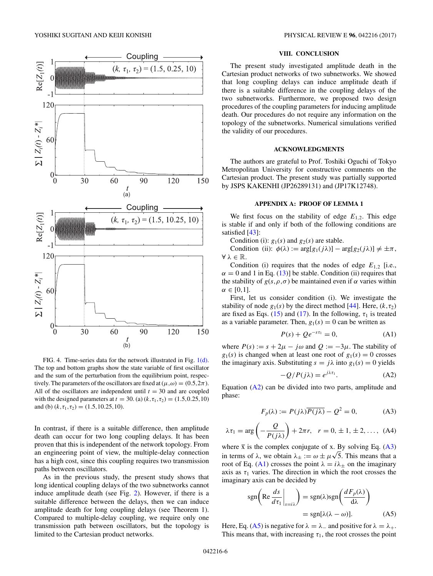<span id="page-6-0"></span>

FIG. 4. Time-series data for the network illustrated in Fig. [1\(d\).](#page-2-0) The top and bottom graphs show the state variable of first oscillator and the sum of the perturbation from the equilibrium point, respectively. The parameters of the oscillators are fixed at  $(\mu, \omega) = (0.5, 2\pi)$ . All of the oscillators are independent until  $t = 30$  and are coupled with the designed parameters at  $t = 30$ . (a)  $(k, \tau_1, \tau_2) = (1.5, 0.25, 10)$ and (b)  $(k, \tau_1, \tau_2) = (1.5, 10.25, 10)$ .

In contrast, if there is a suitable difference, then amplitude death can occur for two long coupling delays. It has been proven that this is independent of the network topology. From an engineering point of view, the multiple-delay connection has a high cost, since this coupling requires two transmission paths between oscillators.

As in the previous study, the present study shows that long identical coupling delays of the two subnetworks cannot induce amplitude death (see Fig. [2\)](#page-4-0). However, if there is a suitable difference between the delays, then we can induce amplitude death for long coupling delays (see Theorem 1). Compared to multiple-delay coupling, we require only one transmission path between oscillators, but the topology is limited to the Cartesian product networks.

#### **VIII. CONCLUSION**

The present study investigated amplitude death in the Cartesian product networks of two subnetworks. We showed that long coupling delays can induce amplitude death if there is a suitable difference in the coupling delays of the two subnetworks. Furthermore, we proposed two design procedures of the coupling parameters for inducing amplitude death. Our procedures do not require any information on the topology of the subnetworks. Numerical simulations verified the validity of our procedures.

#### **ACKNOWLEDGMENTS**

The authors are grateful to Prof. Toshiki Oguchi of Tokyo Metropolitan University for constructive comments on the Cartesian product. The present study was partially supported by JSPS KAKENHI (JP26289131) and (JP17K12748).

## **APPENDIX A: PROOF OF LEMMA 1**

We first focus on the stability of edge  $E_{1,2}$ . This edge is stable if and only if both of the following conditions are satisfied [\[43\]](#page-9-0):

Condition (i):  $g_1(s)$  and  $g_2(s)$  are stable.

Condition (ii):  $\phi(\lambda) := \arg[g_1(j\lambda)] - \arg[g_2(j\lambda)] \neq \pm \pi$ , ∀ *λ* ∈ R.

Condition (i) requires that the nodes of edge  $E_{1,2}$  [i.e.,  $\alpha = 0$  and 1 in Eq. [\(13\)](#page-4-0)] be stable. Condition (ii) requires that the stability of  $g(s, \rho, \sigma)$  be maintained even if  $\alpha$  varies within  $\alpha \in [0,1].$ 

First, let us consider condition (i). We investigate the stability of node  $g_1(s)$  by the direct method [\[44\]](#page-9-0). Here,  $(k, \tau_2)$ are fixed as Eqs. [\(15\)](#page-5-0) and [\(17\)](#page-5-0). In the following,  $\tau_1$  is treated as a variable parameter. Then,  $g_1(s) = 0$  can be written as

$$
P(s) + Qe^{-s\tau_1} = 0,
$$
 (A1)

where  $P(s) := s + 2\mu - j\omega$  and  $Q := -3\mu$ . The stability of  $g_1(s)$  is changed when at least one root of  $g_1(s) = 0$  crosses the imaginary axis. Substituting  $s = j\lambda$  into  $g_1(s) = 0$  yields

$$
-Q/P(j\lambda) = e^{j\lambda \tau_1}.
$$
 (A2)

Equation (A2) can be divided into two parts, amplitude and phase:

$$
F_p(\lambda) := P(j\lambda)\overline{P(j\lambda)} - Q^2 = 0,
$$
 (A3)

$$
\lambda \tau_1 = \arg\left(-\frac{Q}{P(j\lambda)}\right) + 2\pi r, \quad r = 0, \pm 1, \pm 2, \dots, \text{ (A4)}
$$

where  $\bar{x}$  is the complex conjugate of x. By solving Eq. (A3) in terms of  $\lambda$ , we obtain  $\lambda_{\pm} := \omega \pm \mu \sqrt{5}$ . This means that a root of Eq. (A1) crosses the point  $\lambda = i\lambda_{\pm}$  on the imaginary axis as  $\tau_1$  varies. The direction in which the root crosses the imaginary axis can be decided by

$$
sgn\left(\text{Re}\frac{ds}{d\tau_1}\bigg|_{s=i\lambda}\right) = sgn(\lambda)sgn\left(\frac{dF_p(\lambda)}{d\lambda}\right)
$$

$$
= sgn[\lambda(\lambda - \omega)]. \tag{A5}
$$

Here, Eq. (A5) is negative for  $\lambda = \lambda_{-}$  and positive for  $\lambda = \lambda_{+}$ . This means that, with increasing  $\tau_1$ , the root crosses the point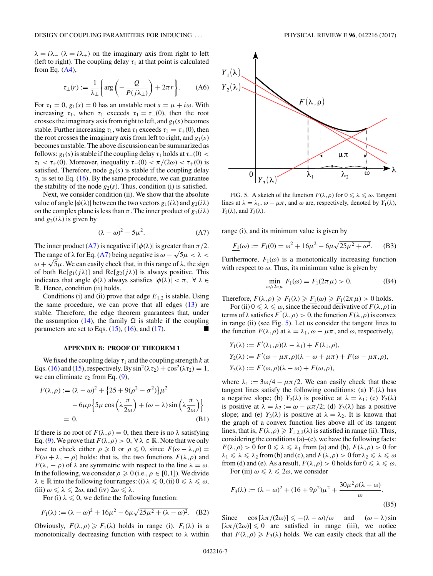<span id="page-7-0"></span> $\lambda = i\lambda$ <sub>-</sub> ( $\lambda = i\lambda$ <sub>+</sub>) on the imaginary axis from right to left (left to right). The coupling delay  $\tau_1$  at that point is calculated from Eq.  $(A4)$ ,

$$
\tau_{\pm}(r) := \frac{1}{\lambda_{\pm}} \left\{ \arg \left( -\frac{Q}{P(j\lambda_{\pm})} \right) + 2\pi r \right\}.
$$
 (A6)

For  $\tau_1 = 0$ ,  $g_1(s) = 0$  has an unstable root  $s = \mu + i\omega$ . With increasing  $\tau_1$ , when  $\tau_1$  exceeds  $\tau_1 = \tau_-(0)$ , then the root crosses the imaginary axis from right to left, and  $g_1(s)$  becomes stable. Further increasing  $\tau_1$ , when  $\tau_1$  exceeds  $\tau_1 = \tau_+(0)$ , then the root crosses the imaginary axis from left to right, and  $g_1(s)$ becomes unstable. The above discussion can be summarized as follows:  $g_1(s)$  is stable if the coupling delay  $\tau_1$  holds at  $\tau_-(0)$  < *τ*<sub>1</sub> < *τ*<sub>+</sub>(0). Moreover, inequality  $\tau$ <sub>−</sub>(0) <  $\pi$ /(2ω) <  $\tau$ <sub>+</sub>(0) is satisfied. Therefore, node  $g_1(s)$  is stable if the coupling delay  $\tau_1$  is set to Eq. [\(16\)](#page-5-0). By the same procedure, we can guarantee the stability of the node  $g_2(s)$ . Thus, condition (i) is satisfied.

Next, we consider condition (ii). We show that the absolute value of angle  $|\phi(\lambda)|$  between the two vectors  $g_1(i\lambda)$  and  $g_2(i\lambda)$ on the complex plane is less than  $\pi$ . The inner product of  $g_1(i\lambda)$ and  $g_2(i\lambda)$  is given by

$$
(\lambda - \omega)^2 - 5\mu^2. \tag{A7}
$$

The inner product (A7) is negative if  $|\phi(\lambda)|$  is greater than  $\pi/2$ . The range of  $\lambda$  for Eq. (A7) being negative is  $\omega - \sqrt{5}\mu < \lambda <$ <br>The range of  $\lambda$  for Eq. (A7) being negative is  $\omega - \sqrt{5}\mu < \lambda <$ *u* = *u* = *k* = *k* × *w* = *k* × *k* × *k* × *k* × *k* × *k* × *k* × *k* × *k* × *k* × *k* + *k y k k* + *k k k k* + *k k k* + *k* + *k* + *k* + *k* + *k* + *k* + *k* + *k* + *k* + *k* + *k* + *k* + *k* of both  $\text{Re}[g_1(j\lambda)]$  and  $\text{Re}[g_2(j\lambda)]$  is always positive. This indicates that angle  $\phi(\lambda)$  always satisfies  $|\phi(\lambda)| < \pi$ ,  $\forall \lambda \in$ R. Hence, condition (ii) holds.

Conditions (i) and (ii) prove that edge  $E_{1,2}$  is stable. Using the same procedure, we can prove that all edges  $(13)$  are stable. Therefore, the edge theorem guarantees that, under the assumption [\(14\)](#page-4-0), the family  $\Omega$  is stable if the coupling parameters are set to Eqs.  $(15)$ ,  $(16)$ , and  $(17)$ .

#### **APPENDIX B: PROOF OF THEOREM 1**

We fixed the coupling delay  $\tau_1$  and the coupling strength  $k$  at Eqs. [\(16\)](#page-5-0) and [\(15\)](#page-5-0), respectively. By  $\sin^2(\lambda \tau_2) + \cos^2(\lambda \tau_2) = 1$ , we can eliminate  $\tau_2$  from Eq. [\(9\)](#page-3-0),

$$
F(\lambda, \rho) := (\lambda - \omega)^2 + \{25 + 9(\rho^2 - \sigma^2)\} \mu^2
$$

$$
- 6\mu \rho \left\{ 5\mu \cos\left(\lambda \frac{\pi}{2\omega}\right) + (\omega - \lambda) \sin\left(\lambda \frac{\pi}{2\omega}\right) \right\}
$$

$$
= 0. \tag{B1}
$$

If there is no root of  $F(\lambda, \rho) = 0$ , then there is no  $\lambda$  satisfying Eq. [\(9\)](#page-3-0). We prove that  $F(\lambda, \rho) > 0$ ,  $\forall \lambda \in \mathbb{R}$ . Note that we only have to check either  $\rho \geq 0$  or  $\rho \leq 0$ , since  $F(\omega - \lambda, \rho) =$ *F*( $\omega + \lambda$ ,  $-\rho$ ) holds: that is, the two functions *F*( $\lambda$ , $\rho$ ) and *F*( $\lambda$ ,  $-\rho$ ) of  $\lambda$  are symmetric with respect to the line  $\lambda = \omega$ . In the following, we consider  $\rho \geq 0$  (i.e.,  $\rho \in [0,1]$ ). We divide  $\lambda \in \mathbb{R}$  into the following four ranges: (i)  $\lambda \leq 0$ , (ii)  $0 \leq \lambda \leq \omega$ ,  $(iii) \omega \leq \lambda \leq 2\omega$ , and  $(iv) 2\omega \leq \lambda$ .

For (i)  $\lambda \leq 0$ , we define the following function:

$$
F_1(\lambda) := (\lambda - \omega)^2 + 16\mu^2 - 6\mu\sqrt{25\mu^2 + (\lambda - \omega)^2}.
$$
 (B2)

Obviously,  $F(\lambda, \rho) \geq F_1(\lambda)$  holds in range (i).  $F_1(\lambda)$  is a monotonically decreasing function with respect to *λ* within



FIG. 5. A sketch of the function  $F(\lambda, \rho)$  for  $0 \le \lambda \le \omega$ . Tangent lines at  $\lambda = \lambda_1$ ,  $\omega - \mu \pi$ , and  $\omega$  are, respectively, denoted by  $Y_1(\lambda)$ ,  $Y_2(\lambda)$ , and  $Y_3(\lambda)$ .

range (i), and its minimum value is given by

$$
\underline{F_1}(\omega) := F_1(0) = \omega^2 + 16\mu^2 - 6\mu\sqrt{25\mu^2 + \omega^2}.
$$
 (B3)

Furthermore,  $F_1(\omega)$  is a monotonically increasing function with respect to  $\omega$ . Thus, its minimum value is given by

$$
\min_{\omega \ge 2\pi\mu} \frac{F_1(\omega) = F_1(2\pi\mu) > 0. \tag{B4}
$$

Therefore,  $F(\lambda, \rho) \geq F_1(\lambda) \geq F_1(\omega) \geq F_1(2\pi \mu) > 0$  holds.

For (ii)  $0 \le \lambda \le \omega$ , since the second derivative of  $F(\lambda, \rho)$  in terms of  $\lambda$  satisfies  $F''(\lambda,\rho) > 0$ , the function  $F(\lambda,\rho)$  is convex in range (ii) (see Fig. 5). Let us consider the tangent lines to the function  $F(\lambda, \rho)$  at  $\lambda = \lambda_1, \omega - \mu \pi$ , and  $\omega$ , respectively,

$$
Y_1(\lambda) := F'(\lambda_1, \rho)(\lambda - \lambda_1) + F(\lambda_1, \rho),
$$
  
\n
$$
Y_2(\lambda) := F'(\omega - \mu \pi, \rho)(\lambda - \omega + \mu \pi) + F(\omega - \mu \pi, \rho),
$$
  
\n
$$
Y_3(\lambda) := F'(\omega, \rho)(\lambda - \omega) + F(\omega, \rho),
$$

where  $\lambda_1 := 3\omega/4 - \mu \pi/2$ . We can easily check that these tangent lines satisfy the following conditions: (a)  $Y_1(\lambda)$  has a negative slope; (b)  $Y_2(\lambda)$  is positive at  $\lambda = \lambda_1$ ; (c)  $Y_2(\lambda)$ is positive at  $\lambda = \lambda_2 := \omega - \mu \pi/2$ ; (d)  $Y_3(\lambda)$  has a positive slope; and (e)  $Y_3(\lambda)$  is positive at  $\lambda = \lambda_2$ . It is known that the graph of a convex function lies above all of its tangent lines, that is,  $F(\lambda, \rho) \ge Y_{1,2,3}(\lambda)$  is satisfied in range (ii). Thus, considering the conditions  $(a)$ – $(e)$ , we have the following facts: *F*( $\lambda, \rho$ ) > 0 for  $0 \le \lambda \le \lambda_1$  from (a) and (b),  $F(\lambda, \rho)$  > 0 for  $\lambda_1 \leq \lambda \leq \lambda_2$  from (b) and (c), and  $F(\lambda, \rho) > 0$  for  $\lambda_2 \leq \lambda \leq \omega$ from (d) and (e). As a result,  $F(\lambda, \rho) > 0$  holds for  $0 \le \lambda \le \omega$ . For (iii)  $\omega \le \lambda \le 2\omega$ , we consider

 $F_3(\lambda) := (\lambda - \omega)^2 + (16 + 9\rho^2)\mu^2 + \frac{30\mu^2\rho(\lambda - \omega)}{n}$  $\frac{(\cdots -\infty)}{\omega}$ . (B5)

Since  $\cos \left[ \frac{\lambda \pi}{2\omega} \right] \leq -(\lambda - \omega)/\omega$  and  $(\omega - \lambda) \sin$  $[\lambda \pi/(2\omega)] \leq 0$  are satisfied in range (iii), we notice that  $F(\lambda, \rho) \geq F_3(\lambda)$  holds. We can easily check that all the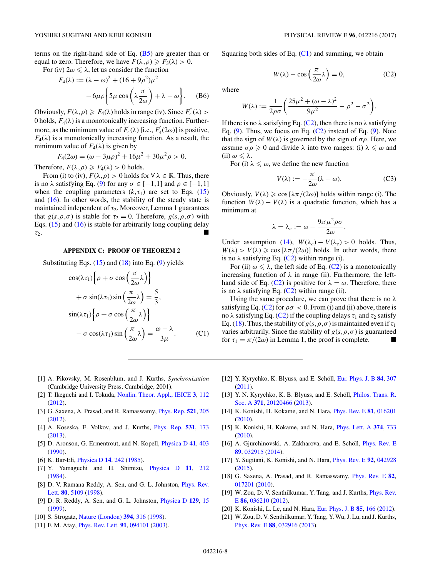<span id="page-8-0"></span>terms on the right-hand side of Eq.  $(B5)$  are greater than or equal to zero. Therefore, we have  $F(\lambda, \rho) \geq F_3(\lambda) > 0$ .

For (iv)  $2\omega \leq \lambda$ , let us consider the function

$$
F_4(\lambda) := (\lambda - \omega)^2 + (16 + 9\rho^2)\mu^2
$$

$$
-6\mu\rho \left\{ 5\mu \cos\left(\lambda \frac{\pi}{2\omega}\right) + \lambda - \omega \right\}.
$$
 (B6)

Obviously,  $F(\lambda, \rho) \geqslant F_4(\lambda)$  holds in range (iv). Since  $F_4^{''}(\lambda)$ 0 holds,  $F_4^{'}(\lambda)$  is a monotonically increasing function. Furthermore, as the minimum value of  $F_4^{\prime}(\lambda)$  [i.e.,  $F_4^{\prime}(2\omega)$ ] is positive,  $F_4(\lambda)$  is a monotonically increasing function. As a result, the minimum value of  $F_4(\lambda)$  is given by

$$
F_4(2\omega) = (\omega - 3\mu\rho)^2 + 16\mu^2 + 30\mu^2\rho > 0.
$$

Therefore,  $F(\lambda, \rho) \ge F_4(\lambda) > 0$  holds.

From (i) to (iv),  $F(\lambda, \rho) > 0$  holds for  $\forall \lambda \in \mathbb{R}$ . Thus, there is no  $\lambda$  satisfying Eq. [\(9\)](#page-3-0) for any  $\sigma \in [-1,1]$  and  $\rho \in [-1,1]$ when the coupling parameters  $(k, \tau_1)$  are set to Eqs. [\(15\)](#page-5-0) and  $(16)$ . In other words, the stability of the steady state is maintained independent of  $\tau_2$ . Moreover, Lemma 1 guarantees that  $g(s, \rho, \sigma)$  is stable for  $\tau_2 = 0$ . Therefore,  $g(s, \rho, \sigma)$  with Eqs. [\(15\)](#page-5-0) and [\(16\)](#page-5-0) is stable for arbitrarily long coupling delay *τ*2.

#### **APPENDIX C: PROOF OF THEOREM 2**

Substituting Eqs.  $(15)$  and  $(18)$  into Eq.  $(9)$  yields

$$
\cos(\lambda \tau_1) \left\{ \rho + \sigma \cos\left(\frac{\pi}{2\omega}\lambda\right) \right\}
$$

$$
+ \sigma \sin(\lambda \tau_1) \sin\left(\frac{\pi}{2\omega}\lambda\right) = \frac{5}{3},
$$

$$
\sin(\lambda \tau_1) \left\{ \rho + \sigma \cos\left(\frac{\pi}{2\omega}\lambda\right) \right\}
$$

$$
- \sigma \cos(\lambda \tau_1) \sin\left(\frac{\pi}{2\omega}\lambda\right) = \frac{\omega - \lambda}{3\mu}.
$$
 (C1)

Squaring both sides of Eq.  $(C1)$  and summing, we obtain

$$
W(\lambda) - \cos\left(\frac{\pi}{2\omega}\lambda\right) = 0,\tag{C2}
$$

where

$$
W(\lambda):=\frac{1}{2\rho\sigma}\bigg(\frac{25\mu^2+(\omega-\lambda)^2}{9\mu^2}-\rho^2-\sigma^2\bigg).
$$

If there is no  $\lambda$  satisfying Eq. (C2), then there is no  $\lambda$  satisfying Eq.  $(9)$ . Thus, we focus on Eq.  $(C2)$  instead of Eq.  $(9)$ . Note that the sign of  $W(\lambda)$  is governed by the sign of  $\sigma \rho$ . Here, we assume  $\sigma \rho \geq 0$  and divide  $\lambda$  into two ranges: (i)  $\lambda \leq \omega$  and (ii) *ω λ*.

For (i)  $\lambda \leq \omega$ , we define the new function

$$
V(\lambda) := -\frac{\pi}{2\omega}(\lambda - \omega).
$$
 (C3)

Obviously,  $V(\lambda) \geqslant \cos \left[ \frac{\lambda \pi}{2\omega} \right]$  holds within range (i). The function  $W(\lambda) - V(\lambda)$  is a quadratic function, which has a minimum at

$$
\lambda = \lambda_c := \omega - \frac{9\pi\mu^2\rho\sigma}{2\omega}.
$$

Under assumption [\(14\)](#page-4-0),  $W(\lambda_c) - V(\lambda_c) > 0$  holds. Thus,  $W(\lambda) > V(\lambda) \geqslant \cos \left[ \frac{\lambda \pi}{2\omega} \right]$  holds. In other words, there is no  $\lambda$  satisfying Eq. (C2) within range (i).

For (ii)  $\omega \le \lambda$ , the left side of Eq. (C2) is a monotonically increasing function of  $\lambda$  in range (ii). Furthermore, the lefthand side of Eq. (C2) is positive for  $\lambda = \omega$ . Therefore, there is no  $\lambda$  satisfying Eq. (C2) within range (ii).

Using the same procedure, we can prove that there is no *λ* satisfying Eq. (C2) for  $\rho \sigma < 0$ . From (i) and (ii) above, there is no *λ* satisfying Eq. (C2) if the coupling delays  $τ_1$  and  $τ_2$  satisfy Eq. [\(18\)](#page-5-0). Thus, the stability of  $g(s, \rho, \sigma)$  is maintained even if  $\tau_1$ varies arbitrarily. Since the stability of  $g(s, \rho, \sigma)$  is guaranteed for  $\tau_1 = \pi/(2\omega)$  in Lemma 1, the proof is complete.

- [1] A. Pikovsky, M. Rosenblum, and J. Kurths, *Synchronization* (Cambridge University Press, Cambridge, 2001).
- [2] T. Ikeguchi and I. Tokuda, [Nonlin. Theor. Appl., IEICE](https://doi.org/10.1587/nolta.3.112) **[3](https://doi.org/10.1587/nolta.3.112)**, [112](https://doi.org/10.1587/nolta.3.112) [\(2012\)](https://doi.org/10.1587/nolta.3.112).
- [3] G. Saxena, A. Prasad, and R. Ramaswamy, [Phys. Rep.](https://doi.org/10.1016/j.physrep.2012.09.003) **[521](https://doi.org/10.1016/j.physrep.2012.09.003)**, [205](https://doi.org/10.1016/j.physrep.2012.09.003) [\(2012\)](https://doi.org/10.1016/j.physrep.2012.09.003).
- [4] A. Koseska, E. Volkov, and J. Kurths, [Phys. Rep.](https://doi.org/10.1016/j.physrep.2013.06.001) **[531](https://doi.org/10.1016/j.physrep.2013.06.001)**, [173](https://doi.org/10.1016/j.physrep.2013.06.001) [\(2013\)](https://doi.org/10.1016/j.physrep.2013.06.001).
- [5] D. Aronson, G. Ermentrout, and N. Kopell, [Physica D](https://doi.org/10.1016/0167-2789(90)90007-C) **[41](https://doi.org/10.1016/0167-2789(90)90007-C)**, [403](https://doi.org/10.1016/0167-2789(90)90007-C) [\(1990\)](https://doi.org/10.1016/0167-2789(90)90007-C).
- [6] K. Bar-Eli, [Physica D](https://doi.org/10.1016/0167-2789(85)90182-4) **[14](https://doi.org/10.1016/0167-2789(85)90182-4)**, [242](https://doi.org/10.1016/0167-2789(85)90182-4) [\(1985\)](https://doi.org/10.1016/0167-2789(85)90182-4).
- [7] Y. Yamaguchi and H. Shimizu, [Physica D](https://doi.org/10.1016/0167-2789(84)90444-5) **[11](https://doi.org/10.1016/0167-2789(84)90444-5)**, [212](https://doi.org/10.1016/0167-2789(84)90444-5) [\(1984\)](https://doi.org/10.1016/0167-2789(84)90444-5).
- [8] [D. V. Ramana Reddy, A. Sen, and G. L. Johnston,](https://doi.org/10.1103/PhysRevLett.80.5109) *Phys. Rev.* Lett. **[80](https://doi.org/10.1103/PhysRevLett.80.5109)**, [5109](https://doi.org/10.1103/PhysRevLett.80.5109) [\(1998\)](https://doi.org/10.1103/PhysRevLett.80.5109).
- [9] D. R. Reddy, A. Sen, and G. L. Johnston, [Physica D](https://doi.org/10.1016/S0167-2789(99)00004-4) **[129](https://doi.org/10.1016/S0167-2789(99)00004-4)**, [15](https://doi.org/10.1016/S0167-2789(99)00004-4) [\(1999\)](https://doi.org/10.1016/S0167-2789(99)00004-4).
- [10] S. Strogatz, [Nature \(London\)](https://doi.org/10.1038/28488) **[394](https://doi.org/10.1038/28488)**, [316](https://doi.org/10.1038/28488) [\(1998\)](https://doi.org/10.1038/28488).
- [11] F. M. Atay, [Phys. Rev. Lett.](https://doi.org/10.1103/PhysRevLett.91.094101) **[91](https://doi.org/10.1103/PhysRevLett.91.094101)**, [094101](https://doi.org/10.1103/PhysRevLett.91.094101) [\(2003\)](https://doi.org/10.1103/PhysRevLett.91.094101).
- [12] Y. Kyrychko, K. Blyuss, and E. Schöll, [Eur. Phys. J. B](https://doi.org/10.1140/epjb/e2011-20677-8) **[84](https://doi.org/10.1140/epjb/e2011-20677-8)**, [307](https://doi.org/10.1140/epjb/e2011-20677-8) [\(2011\)](https://doi.org/10.1140/epjb/e2011-20677-8).
- [13] [Y. N. Kyrychko, K. B. Blyuss, and E. Schöll,](https://doi.org/10.1098/rsta.2012.0466) Philos. Trans. R. Soc. A **[371](https://doi.org/10.1098/rsta.2012.0466)**, [20120466](https://doi.org/10.1098/rsta.2012.0466) [\(2013\)](https://doi.org/10.1098/rsta.2012.0466).
- [14] K. Konishi, H. Kokame, and N. Hara, [Phys. Rev. E](https://doi.org/10.1103/PhysRevE.81.016201) **[81](https://doi.org/10.1103/PhysRevE.81.016201)**, [016201](https://doi.org/10.1103/PhysRevE.81.016201) [\(2010\)](https://doi.org/10.1103/PhysRevE.81.016201).
- [15] K. Konishi, H. Kokame, and N. Hara, [Phys. Lett. A](https://doi.org/10.1016/j.physleta.2009.11.065) **[374](https://doi.org/10.1016/j.physleta.2009.11.065)**, [733](https://doi.org/10.1016/j.physleta.2009.11.065) [\(2010\)](https://doi.org/10.1016/j.physleta.2009.11.065).
- [16] A. Gjurchinovski, A. Zakharova, and E. Schöll, *[Phys. Rev. E](https://doi.org/10.1103/PhysRevE.89.032915)* **[89](https://doi.org/10.1103/PhysRevE.89.032915)**, [032915](https://doi.org/10.1103/PhysRevE.89.032915) [\(2014\)](https://doi.org/10.1103/PhysRevE.89.032915).
- [17] Y. Sugitani, K. Konishi, and N. Hara, [Phys. Rev. E](https://doi.org/10.1103/PhysRevE.92.042928) **[92](https://doi.org/10.1103/PhysRevE.92.042928)**, [042928](https://doi.org/10.1103/PhysRevE.92.042928) [\(2015\)](https://doi.org/10.1103/PhysRevE.92.042928).
- [18] G. Saxena, A. Prasad, and R. Ramaswamy, [Phys. Rev. E](https://doi.org/10.1103/PhysRevE.82.017201) **[82](https://doi.org/10.1103/PhysRevE.82.017201)**, [017201](https://doi.org/10.1103/PhysRevE.82.017201) [\(2010\)](https://doi.org/10.1103/PhysRevE.82.017201).
- [19] [W. Zou, D. V. Senthilkumar, Y. Tang, and J. Kurths,](https://doi.org/10.1103/PhysRevE.86.036210) *Phys. Rev.* E **[86](https://doi.org/10.1103/PhysRevE.86.036210)**, [036210](https://doi.org/10.1103/PhysRevE.86.036210) [\(2012\)](https://doi.org/10.1103/PhysRevE.86.036210).
- [20] K. Konishi, L. Le, and N. Hara, [Eur. Phys. J. B](https://doi.org/10.1140/epjb/e2012-30012-8) **[85](https://doi.org/10.1140/epjb/e2012-30012-8)**, [166](https://doi.org/10.1140/epjb/e2012-30012-8) [\(2012\)](https://doi.org/10.1140/epjb/e2012-30012-8).
- [21] W. Zou, D. V. Senthilkumar, Y. Tang, Y. Wu, J. Lu, and J. Kurths, [Phys. Rev. E](https://doi.org/10.1103/PhysRevE.88.032916) **[88](https://doi.org/10.1103/PhysRevE.88.032916)**, [032916](https://doi.org/10.1103/PhysRevE.88.032916) [\(2013\)](https://doi.org/10.1103/PhysRevE.88.032916).